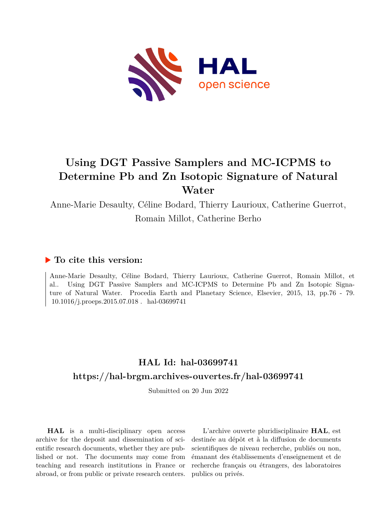

# **Using DGT Passive Samplers and MC-ICPMS to Determine Pb and Zn Isotopic Signature of Natural Water**

Anne-Marie Desaulty, Céline Bodard, Thierry Laurioux, Catherine Guerrot, Romain Millot, Catherine Berho

## **To cite this version:**

Anne-Marie Desaulty, Céline Bodard, Thierry Laurioux, Catherine Guerrot, Romain Millot, et al.. Using DGT Passive Samplers and MC-ICPMS to Determine Pb and Zn Isotopic Signature of Natural Water. Procedia Earth and Planetary Science, Elsevier, 2015, 13, pp.76 - 79.  $10.1016/j.proeps.2015.07.018$ . hal-03699741

# **HAL Id: hal-03699741 <https://hal-brgm.archives-ouvertes.fr/hal-03699741>**

Submitted on 20 Jun 2022

**HAL** is a multi-disciplinary open access archive for the deposit and dissemination of scientific research documents, whether they are published or not. The documents may come from teaching and research institutions in France or abroad, or from public or private research centers.

L'archive ouverte pluridisciplinaire **HAL**, est destinée au dépôt et à la diffusion de documents scientifiques de niveau recherche, publiés ou non, émanant des établissements d'enseignement et de recherche français ou étrangers, des laboratoires publics ou privés.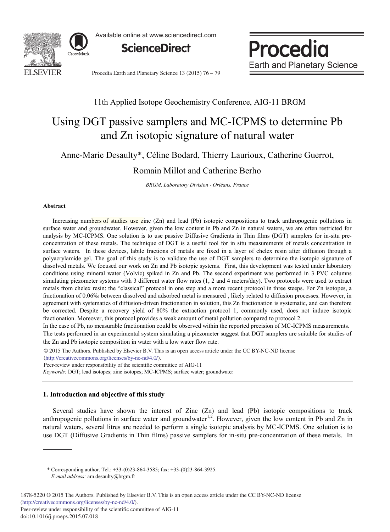

Available online at www.sciencedirect.com



Procedia **Earth and Planetary Science** 

Procedia Earth and Planetary Science 13 (2015) 76 - 79

## 11th Applied Isotope Geochemistry Conference, AIG-11 BRGM

# Using DGT passive samplers and MC-ICPMS to determine Pb and Zn isotopic signature of natural water

Anne-Marie Desaulty\*, Céline Bodard, Thierry Laurioux, Catherine Guerrot,

## Romain Millot and Catherine Berho

*BRGM, Laboratory Division - Orléans, France*

#### **Abstract**

Increasing numbers of studies use zinc (Zn) and lead (Pb) isotopic compositions to track anthropogenic pollutions in surface water and groundwater. However, given the low content in Pb and Zn in natural waters, we are often restricted for analysis by MC-ICPMS. One solution is to use passive Diffusive Gradients in Thin films (DGT) samplers for in-situ preconcentration of these metals. The technique of DGT is a useful tool for in situ measurements of metals concentration in surface waters. In these devices, labile fractions of metals are fixed in a layer of chelex resin after diffusion through a polyacrylamide gel. The goal of this study is to validate the use of DGT samplers to determine the isotopic signature of dissolved metals. We focused our work on Zn and Pb isotopic systems. First, this development was tested under laboratory conditions using mineral water (Volvic) spiked in Zn and Pb. The second experiment was performed in 3 PVC columns simulating piezometer systems with 3 different water flow rates (1, 2 and 4 meters/day). Two protocols were used to extract metals from chelex resin: the "classical" protocol in one step and a more recent protocol in three steeps. For Zn isotopes, a fractionation of 0.06‰ between dissolved and adsorbed metal is measured , likely related to diffusion processes. However, in agreement with systematics of diffusion-driven fractionation in solution, this Zn fractionation is systematic, and can therefore be corrected. Despite a recovery yield of 80% the extraction protocol 1, commonly used, does not induce isotopic fractionation. Moreover, this protocol provides a weak amount of metal pollution compared to protocol 2.

In the case of Pb, no measurable fractionation could be observed within the reported precision of MC-ICPMS measurements. The tests performed in an experimental system simulating a piezometer suggest that DGT samplers are suitable for studies of the Zn and Pb isotopic composition in water with a low water flow rate.

© 2015 The Authors. Published by Elsevier B.V. © 2015 The Authors. Published by Elsevier B.V. This is an open access article under the CC BY-NC-ND license (http://creativecommons.org/licenses/by-nc-nd/4.0/).

*Keywords:* DGT; lead isotopes; zinc isotopes; MC-ICPMS; surface water; groundwater Peer-review under responsibility of the scientific committee of AIG-11

### **1. Introduction and objective of this study**

Several studies have shown the interest of Zinc (Zn) and lead (Pb) isotopic compositions to track anthropogenic pollutions in surface water and groundwater<sup>1,2</sup>. However, given the low content in Pb and Zn in natural waters, several litres are needed to perform a single isotopic analysis by MC-ICPMS. One solution is to use DGT (Diffusive Gradients in Thin films) passive samplers for in-situ pre-concentration of these metals. In

\* Corresponding author. Tel.: +33-(0)23-864-3585; fax: +33-(0)23-864-3925. *E-mail address:* am.desaulty@brgm.fr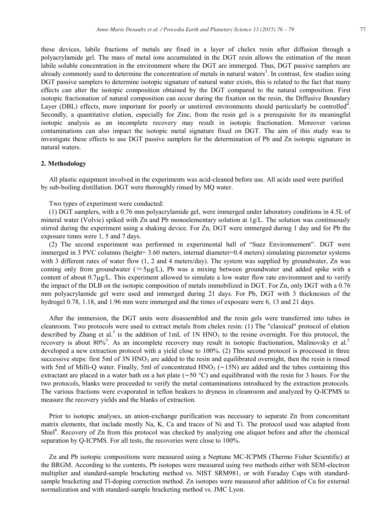these devices, labile fractions of metals are fixed in a layer of chelex resin after diffusion through a polyacrylamide gel. The mass of metal ions accumulated in the DGT resin allows the estimation of the mean labile soluble concentration in the environment where the DGT are immerged. Thus, DGT passive samplers are already commonly used to determine the concentration of metals in natural waters<sup>3</sup>. In contrast, few studies using DGT passive samplers to determine isotopic signature of natural water exists, this is related to the fact that many effects can alter the isotopic composition obtained by the DGT compared to the natural composition. First isotopic fractionation of natural composition can occur during the fixation on the resin, the Diffusive Boundary Layer (DBL) effects, more important for poorly or unstirred environments should particularly be controlled<sup>4</sup>. Secondly, a quantitative elution, especially for Zinc, from the resin gel is a prerequisite for its meaningful isotopic analysis as an incomplete recovery may result in isotopic fractionation. Moreover various contaminations can also impact the isotopic metal signature fixed on DGT. The aim of this study was to investigate these effects to use DGT passive samplers for the determination of Pb and Zn isotopic signature in natural waters.

### **2. Methodology**

All plastic equipment involved in the experiments was acid-cleaned before use. All acids used were purified by sub-boiling distillation. DGT were thoroughly rinsed by MQ water.

Two types of experiment were conducted:

(1) DGT samplers, with a 0.76 mm polyacrylamide gel, were immerged under laboratory conditions in 4.5L of mineral water (Volvic) spiked with Zn and Pb monoelementary solution at 1g/L. The solution was continuously stirred during the experiment using a shaking device. For Zn, DGT were immerged during 1 day and for Pb the exposure times were 1, 5 and 7 days.

(2) The second experiment was performed in experimental hall of "Suez Environnement". DGT were immerged in 3 PVC columns (height= 3.60 meters, internal diameter=0.4 meters) simulating piezometer systems with 3 different rates of water flow  $(1, 2 \text{ and } 4 \text{ meters/day})$ . The system was supplied by groundwater, Zn was coming only from groundwater ( $\approx$ 5μg/L), Pb was a mixing between groundwater and added spike with a content of about 0.7μg/L. This experiment allowed to simulate a low water flow rate environment and to verify the impact of the DLB on the isotopic composition of metals immobilized in DGT. For Zn, only DGT with a 0.76 mm polyacrylamide gel were used and immerged during 21 days. For Pb, DGT with 3 thicknesses of the hydrogel 0.78, 1.18, and 1.96 mm were immerged and the times of exposure were 6, 13 and 21 days.

After the immersion, the DGT units were disassembled and the resin gels were transferred into tubes in cleanroom. Two protocols were used to extract metals from chelex resin: (1) The "classical" protocol of elution described by Zhang et al.<sup>3</sup> is the addition of 1mL of 1N HNO<sub>3</sub> to the resine overnight. For this protocol, the recovery is about 80%<sup>5</sup>. As an incomplete recovery may result in isotopic fractionation, Malinovsky et al.<sup>5</sup> developed a new extraction protocol with a yield close to 100%. (2) This second protocol is processed in three successive steps: first 5ml of 3N HNO<sub>3</sub> are added to the resin and equilibrated overnight, then the resin is rinsed with 5ml of Milli-Q water. Finally, 5ml of concentrated  $HNO<sub>3</sub>$  (~15N) are added and the tubes containing this extractant are placed in a water bath on a hot plate ( $\sim$ 50 °C) and equilibrated with the resin for 3 hours. For the two protocols, blanks were proceeded to verify the metal contaminations introduced by the extraction protocols. The various fractions were evaporated in teflon beakers to dryness in cleanroom and analyzed by Q-ICPMS to measure the recovery yields and the blanks of extraction.

Prior to isotopic analyses, an anion-exchange purification was necessary to separate Zn from concomitant matrix elements, that include mostly Na, K, Ca and traces of Ni and Ti. The protocol used was adapted from Shiel<sup>6</sup>. Recovery of Zn from this protocol was checked by analyzing one aliquot before and after the chemical separation by Q-ICPMS. For all tests, the recoveries were close to 100%.

Zn and Pb isotopic compositions were measured using a Neptune MC-ICPMS (Thermo Fisher Scientific) at the BRGM. According to the contents, Pb isotopes were measured using two methods either with SEM-electron multiplier and standard-sample bracketing method vs. NIST SRM981, or with Faraday Cups with standardsample bracketing and Tl-doping correction method. Zn isotopes were measured after addition of Cu for external normalization and with standard-sample bracketing method vs. JMC Lyon.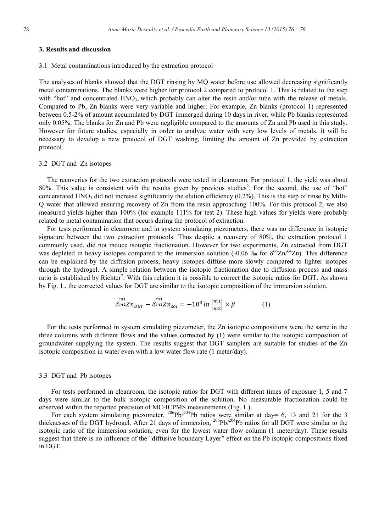#### **3. Results and discussion**

#### 3.1 Metal contaminations introduced by the extraction protocol

The analyses of blanks showed that the DGT rinsing by MQ water before use allowed decreasing significantly metal contaminations. The blanks were higher for protocol 2 compared to protocol 1. This is related to the step with "hot" and concentrated  $HNO<sub>3</sub>$ , which probably can alter the resin and/or tube with the release of metals. Compared to Pb, Zn blanks were very variable and higher. For example, Zn blanks (protocol 1) represented between 0.5-2% of amount accumulated by DGT immerged during 10 days in river, while Pb blanks represented only 0.05%. The blanks for Zn and Pb were negligible compared to the amounts of Zn and Pb used in this study. However for future studies, especially in order to analyze water with very low levels of metals, it will be necessary to develop a new protocol of DGT washing, limiting the amount of Zn provided by extraction protocol.

#### 3.2 DGT and Zn isotopes

The recoveries for the two extraction protocols were tested in cleanroom. For protocol 1, the yield was about 80%. This value is consistent with the results given by previous studies<sup>5</sup>. For the second, the use of "hot" concentrated HNO<sub>3</sub> did not increase significantly the elution efficiency  $(0.2\%)$ . This is the step of rinse by Milli-Q water that allowed ensuring recovery of Zn from the resin approaching 100%. For this protocol 2, we also measured yields higher than 100% (for example 111% for test 2). These high values for yields were probably related to metal contamination that occurs during the protocol of extraction.

For tests performed in cleanroom and in system simulating piezometers, there was no difference in isotopic signature between the two extraction protocols. Thus despite a recovery of 80%, the extraction protocol 1 commonly used, did not induce isotopic fractionation. However for two experiments, Zn extracted from DGT was depleted in heavy isotopes compared to the immersion solution (-0.06 ‰ for  $\delta^{66} \text{Zn}^{64} \text{Zn}$ ). This difference can be explained by the diffusion process, heavy isotopes diffuse more slowly compared to lighter isotopes through the hydrogel. A simple relation between the isotopic fractionation due to diffusion process and mass ratio is established by Richter<sup>7</sup>. With this relation it is possible to correct the isotopic ratios for DGT. As shown by Fig. 1., the corrected values for DGT are similar to the isotopic composition of the immersion solution.

$$
\delta^{\frac{m}{m2}} Z n_{DGT} - \delta^{\frac{m}{m2}} Z n_{sol} = -10^3 \ln \left[ \frac{m_1}{m_2} \right] \times \beta \tag{1}
$$

For the tests performed in system simulating piezometer, the Zn isotopic compositions were the same in the three columns with different flows and the values corrected by (1) were similar to the isotopic composition of groundwater supplying the system. The results suggest that DGT samplers are suitable for studies of the Zn isotopic composition in water even with a low water flow rate (1 meter/day).

#### 3.3 DGT and Pb isotopes

For tests performed in cleanroom, the isotopic ratios for DGT with different times of exposure 1, 5 and 7 days were similar to the bulk isotopic composition of the solution. No measurable fractionation could be observed within the reported precision of MC-ICPMS measurements (Fig. 1.).

For each system simulating piezometer, <sup>206</sup>Pb/<sup>204</sup>Pb ratios were similar at day= 6, 13 and 21 for the 3 thicknesses of the DGT hydrogel. After 21 days of immersion, <sup>206</sup>Pb/<sup>204</sup>Pb ratios for all DGT were similar to the isotopic ratio of the immersion solution, even for the lowest water flow column (1 meter/day). These results suggest that there is no influence of the "diffusive boundary Layer" effect on the Pb isotopic compositions fixed in DGT.